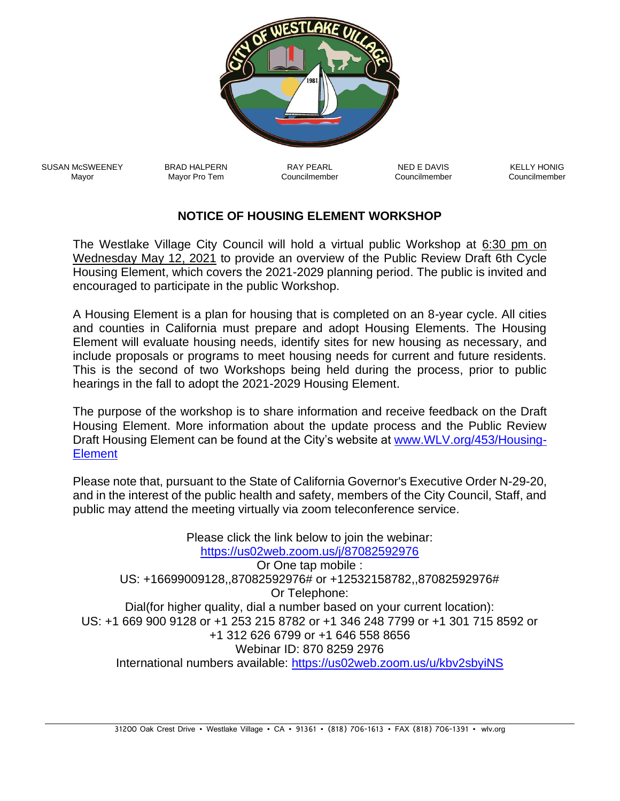

SUSAN McSWEENEY Mayor

BRAD HALPERN Mayor Pro Tem

RAY PEARL Councilmember

NED E DAVIS Councilmember

KELLY HONIG Councilmember

## **NOTICE OF HOUSING ELEMENT WORKSHOP**

The Westlake Village City Council will hold a virtual public Workshop at 6:30 pm on Wednesday May 12, 2021 to provide an overview of the Public Review Draft 6th Cycle Housing Element, which covers the 2021-2029 planning period. The public is invited and encouraged to participate in the public Workshop.

A Housing Element is a plan for housing that is completed on an 8-year cycle. All cities and counties in California must prepare and adopt Housing Elements. The Housing Element will evaluate housing needs, identify sites for new housing as necessary, and include proposals or programs to meet housing needs for current and future residents. This is the second of two Workshops being held during the process, prior to public hearings in the fall to adopt the 2021-2029 Housing Element.

The purpose of the workshop is to share information and receive feedback on the Draft Housing Element. More information about the update process and the Public Review Draft Housing Element can be found at the City's website at [www.WLV.org/453/Housing-](http://www.wlv.org/453/Housing-Element)**[Element](http://www.wlv.org/453/Housing-Element)** 

Please note that, pursuant to the State of California Governor's Executive Order N-29-20, and in the interest of the public health and safety, members of the City Council, Staff, and public may attend the meeting virtually via zoom teleconference service.

Please click the link below to join the webinar: <https://us02web.zoom.us/j/87082592976> Or One tap mobile : US: +16699009128,,87082592976# or +12532158782,,87082592976# Or Telephone: Dial(for higher quality, dial a number based on your current location): US: +1 669 900 9128 or +1 253 215 8782 or +1 346 248 7799 or +1 301 715 8592 or +1 312 626 6799 or +1 646 558 8656 Webinar ID: 870 8259 2976 International numbers available:<https://us02web.zoom.us/u/kbv2sbyiNS>